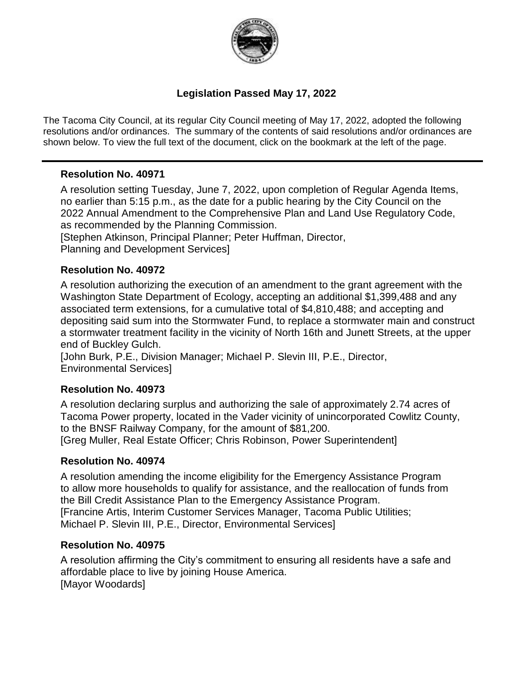

### **Legislation Passed May 17, 2022**

The Tacoma City Council, at its regular City Council meeting of May 17, 2022, adopted the following resolutions and/or ordinances. The summary of the contents of said resolutions and/or ordinances are shown below. To view the full text of the document, click on the bookmark at the left of the page.

### **Resolution No. 40971**

A resolution setting Tuesday, June 7, 2022, upon completion of Regular Agenda Items, no earlier than 5:15 p.m., as the date for a public hearing by the City Council on the 2022 Annual Amendment to the Comprehensive Plan and Land Use Regulatory Code, as recommended by the Planning Commission.

[Stephen Atkinson, Principal Planner; Peter Huffman, Director,

Planning and Development Services]

### **Resolution No. 40972**

A resolution authorizing the execution of an amendment to the grant agreement with the Washington State Department of Ecology, accepting an additional \$1,399,488 and any associated term extensions, for a cumulative total of \$4,810,488; and accepting and depositing said sum into the Stormwater Fund, to replace a stormwater main and construct a stormwater treatment facility in the vicinity of North 16th and Junett Streets, at the upper end of Buckley Gulch.

[John Burk, P.E., Division Manager; Michael P. Slevin III, P.E., Director, Environmental Services]

### **Resolution No. 40973**

A resolution declaring surplus and authorizing the sale of approximately 2.74 acres of Tacoma Power property, located in the Vader vicinity of unincorporated Cowlitz County, to the BNSF Railway Company, for the amount of \$81,200. [Greg Muller, Real Estate Officer; Chris Robinson, Power Superintendent]

### **Resolution No. 40974**

A resolution amending the income eligibility for the Emergency Assistance Program to allow more households to qualify for assistance, and the reallocation of funds from the Bill Credit Assistance Plan to the Emergency Assistance Program. [Francine Artis, Interim Customer Services Manager, Tacoma Public Utilities; Michael P. Slevin III, P.E., Director, Environmental Services]

### **Resolution No. 40975**

A resolution affirming the City's commitment to ensuring all residents have a safe and affordable place to live by joining House America. [Mayor Woodards]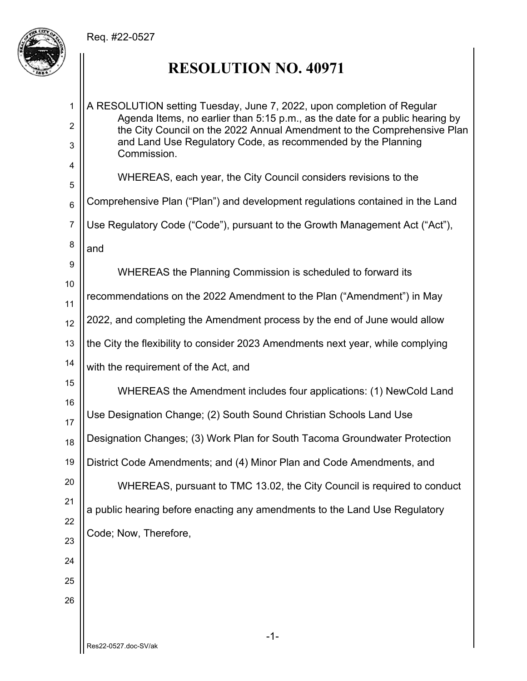

## **RESOLUTION NO. 40971**

-1- Res22-0527.doc-SV/ak 1 2 3 4 5 6 7 8 9 10 11 12 13 14 15 16 17 18 19 20 21 22 23 24 25 26 A RESOLUTION setting Tuesday, June 7, 2022, upon completion of Regular Agenda Items, no earlier than 5:15 p.m., as the date for a public hearing by the City Council on the 2022 Annual Amendment to the Comprehensive Plan and Land Use Regulatory Code, as recommended by the Planning Commission. WHEREAS, each year, the City Council considers revisions to the Comprehensive Plan ("Plan") and development regulations contained in the Land Use Regulatory Code ("Code"), pursuant to the Growth Management Act ("Act"), and WHEREAS the Planning Commission is scheduled to forward its recommendations on the 2022 Amendment to the Plan ("Amendment") in May 2022, and completing the Amendment process by the end of June would allow the City the flexibility to consider 2023 Amendments next year, while complying with the requirement of the Act, and WHEREAS the Amendment includes four applications: (1) NewCold Land Use Designation Change; (2) South Sound Christian Schools Land Use Designation Changes; (3) Work Plan for South Tacoma Groundwater Protection District Code Amendments; and (4) Minor Plan and Code Amendments, and WHEREAS, pursuant to TMC 13.02, the City Council is required to conduct a public hearing before enacting any amendments to the Land Use Regulatory Code; Now, Therefore,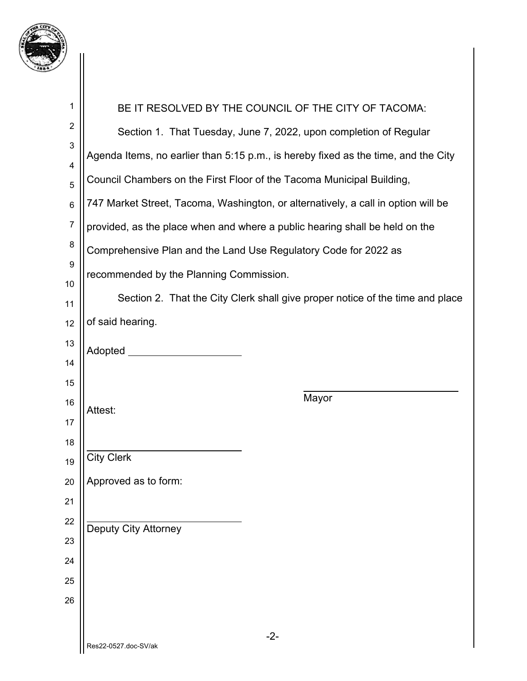

| 1                | BE IT RESOLVED BY THE COUNCIL OF THE CITY OF TACOMA:                               |  |
|------------------|------------------------------------------------------------------------------------|--|
| $\boldsymbol{2}$ | Section 1. That Tuesday, June 7, 2022, upon completion of Regular                  |  |
| 3                | Agenda Items, no earlier than 5:15 p.m., is hereby fixed as the time, and the City |  |
| 4                | Council Chambers on the First Floor of the Tacoma Municipal Building,              |  |
| 5<br>$\,6$       | 747 Market Street, Tacoma, Washington, or alternatively, a call in option will be  |  |
| $\boldsymbol{7}$ |                                                                                    |  |
| $\bf 8$          | provided, as the place when and where a public hearing shall be held on the        |  |
| $\boldsymbol{9}$ | Comprehensive Plan and the Land Use Regulatory Code for 2022 as                    |  |
| 10               | recommended by the Planning Commission.                                            |  |
| 11               | Section 2. That the City Clerk shall give proper notice of the time and place      |  |
| 12               | of said hearing.                                                                   |  |
| 13               | Adopted _______                                                                    |  |
| 14               |                                                                                    |  |
| 15<br>16         | Mayor                                                                              |  |
| 17               | Attest:                                                                            |  |
| 18               |                                                                                    |  |
| 19               | <b>City Clerk</b>                                                                  |  |
| 20               | Approved as to form:                                                               |  |
| 21               |                                                                                    |  |
| 22               | Deputy City Attorney                                                               |  |
| 23               |                                                                                    |  |
| 24               |                                                                                    |  |
| 25               |                                                                                    |  |
| 26               |                                                                                    |  |
|                  | $-2-$                                                                              |  |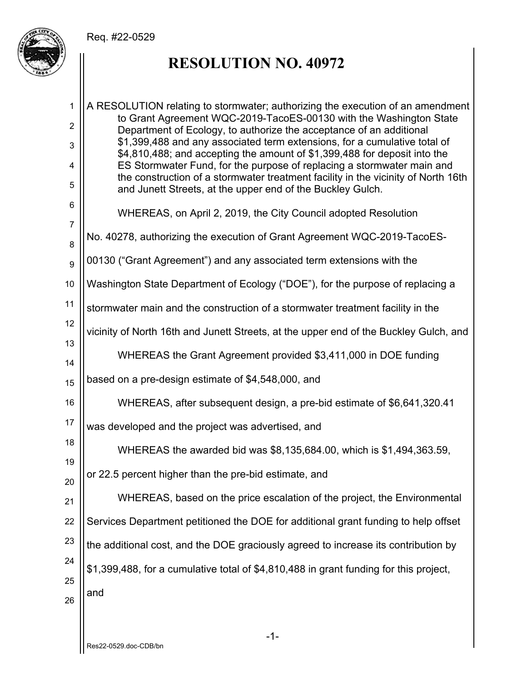

## **RESOLUTION NO. 40972**

| 1                   | A RESOLUTION relating to stormwater; authorizing the execution of an amendment                                                                         |
|---------------------|--------------------------------------------------------------------------------------------------------------------------------------------------------|
| $\overline{2}$      | to Grant Agreement WQC-2019-TacoES-00130 with the Washington State<br>Department of Ecology, to authorize the acceptance of an additional              |
| 3                   | \$1,399,488 and any associated term extensions, for a cumulative total of<br>\$4,810,488; and accepting the amount of \$1,399,488 for deposit into the |
| 4                   | ES Stormwater Fund, for the purpose of replacing a stormwater main and                                                                                 |
| 5                   | the construction of a stormwater treatment facility in the vicinity of North 16th<br>and Junett Streets, at the upper end of the Buckley Gulch.        |
| 6<br>$\overline{7}$ | WHEREAS, on April 2, 2019, the City Council adopted Resolution                                                                                         |
| 8                   | No. 40278, authorizing the execution of Grant Agreement WQC-2019-TacoES-                                                                               |
| $\boldsymbol{9}$    | 00130 ("Grant Agreement") and any associated term extensions with the                                                                                  |
| 10                  | Washington State Department of Ecology ("DOE"), for the purpose of replacing a                                                                         |
| 11                  | stormwater main and the construction of a stormwater treatment facility in the                                                                         |
| 12<br>13            | vicinity of North 16th and Junett Streets, at the upper end of the Buckley Gulch, and                                                                  |
| 14                  | WHEREAS the Grant Agreement provided \$3,411,000 in DOE funding                                                                                        |
| 15                  | based on a pre-design estimate of \$4,548,000, and                                                                                                     |
| 16                  | WHEREAS, after subsequent design, a pre-bid estimate of \$6,641,320.41                                                                                 |
| 17                  | was developed and the project was advertised, and                                                                                                      |
| 18<br>19            | WHEREAS the awarded bid was \$8,135,684.00, which is \$1,494,363.59,                                                                                   |
| 20                  | or 22.5 percent higher than the pre-bid estimate, and                                                                                                  |
| 21                  | WHEREAS, based on the price escalation of the project, the Environmental                                                                               |
| 22                  | Services Department petitioned the DOE for additional grant funding to help offset                                                                     |
| 23                  | the additional cost, and the DOE graciously agreed to increase its contribution by                                                                     |
| 24                  | \$1,399,488, for a cumulative total of \$4,810,488 in grant funding for this project,                                                                  |
| 25<br>26            | and                                                                                                                                                    |
|                     |                                                                                                                                                        |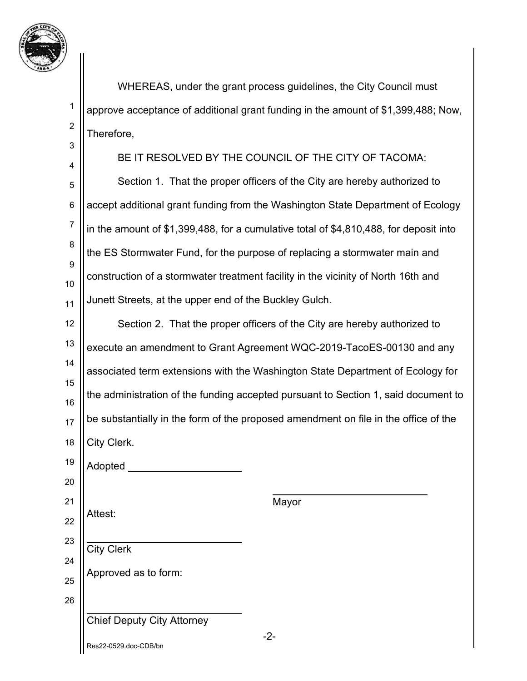

2

3

 WHEREAS, under the grant process guidelines, the City Council must approve acceptance of additional grant funding in the amount of \$1,399,488; Now, Therefore,

4 5 6 7 8 9 10 11 BE IT RESOLVED BY THE COUNCIL OF THE CITY OF TACOMA: Section 1. That the proper officers of the City are hereby authorized to accept additional grant funding from the Washington State Department of Ecology in the amount of \$1,399,488, for a cumulative total of \$4,810,488, for deposit into the ES Stormwater Fund, for the purpose of replacing a stormwater main and construction of a stormwater treatment facility in the vicinity of North 16th and Junett Streets, at the upper end of the Buckley Gulch.

12 13 14 15 16 17 18 19 Section 2. That the proper officers of the City are hereby authorized to execute an amendment to Grant Agreement WQC-2019-TacoES-00130 and any associated term extensions with the Washington State Department of Ecology for the administration of the funding accepted pursuant to Section 1, said document to be substantially in the form of the proposed amendment on file in the office of the City Clerk.

Adopted

21 22 Attest:

 $\overline{a}$ 

 $\overline{a}$ 

City Clerk

20

23

24

25

26

Mayor

Chief Deputy City Attorney

Approved as to form:

Res22-0529.doc-CDB/bn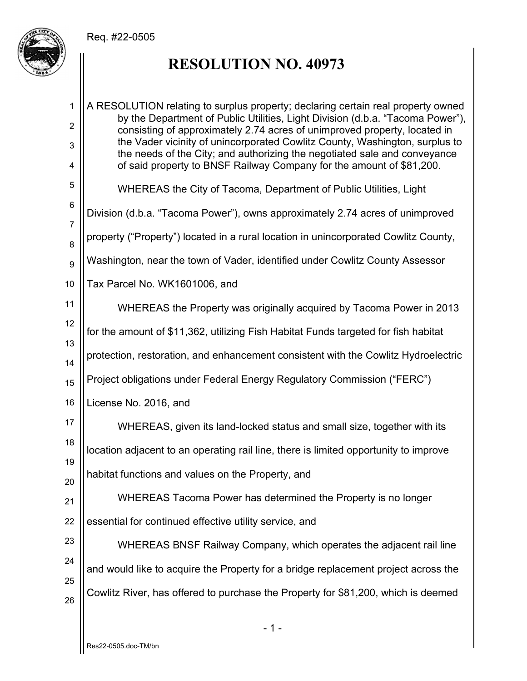

## **RESOLUTION NO. 40973**

- 1 - 1 2 3 4 5 6 7 8 9 10 11 12 13 14 15 16 17 18 19 20 21 22 23 24 25 26 A RESOLUTION relating to surplus property; declaring certain real property owned by the Department of Public Utilities, Light Division (d.b.a. "Tacoma Power"), consisting of approximately 2.74 acres of unimproved property, located in the Vader vicinity of unincorporated Cowlitz County, Washington, surplus to the needs of the City; and authorizing the negotiated sale and conveyance of said property to BNSF Railway Company for the amount of \$81,200. WHEREAS the City of Tacoma, Department of Public Utilities, Light Division (d.b.a. "Tacoma Power"), owns approximately 2.74 acres of unimproved property ("Property") located in a rural location in unincorporated Cowlitz County, Washington, near the town of Vader, identified under Cowlitz County Assessor Tax Parcel No. WK1601006, and WHEREAS the Property was originally acquired by Tacoma Power in 2013 for the amount of \$11,362, utilizing Fish Habitat Funds targeted for fish habitat protection, restoration, and enhancement consistent with the Cowlitz Hydroelectric Project obligations under Federal Energy Regulatory Commission ("FERC") License No. 2016, and WHEREAS, given its land-locked status and small size, together with its location adjacent to an operating rail line, there is limited opportunity to improve habitat functions and values on the Property, and WHEREAS Tacoma Power has determined the Property is no longer essential for continued effective utility service, and WHEREAS BNSF Railway Company, which operates the adjacent rail line and would like to acquire the Property for a bridge replacement project across the Cowlitz River, has offered to purchase the Property for \$81,200, which is deemed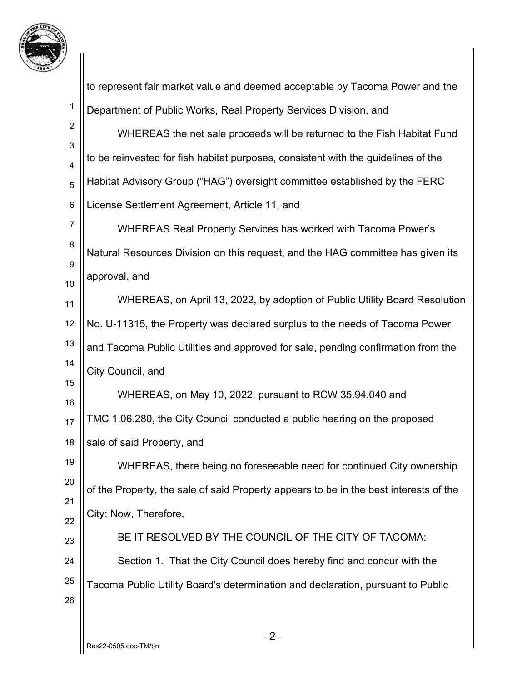

|                                | to represent fair market value and deemed acceptable by Tacoma Power and the          |
|--------------------------------|---------------------------------------------------------------------------------------|
| 1                              | Department of Public Works, Real Property Services Division, and                      |
| $\boldsymbol{2}$               | WHEREAS the net sale proceeds will be returned to the Fish Habitat Fund               |
| $\mathbf{3}$<br>$\overline{4}$ | to be reinvested for fish habitat purposes, consistent with the guidelines of the     |
| 5                              | Habitat Advisory Group ("HAG") oversight committee established by the FERC            |
| $\,6$                          | License Settlement Agreement, Article 11, and                                         |
| 7                              | WHEREAS Real Property Services has worked with Tacoma Power's                         |
| 8                              | Natural Resources Division on this request, and the HAG committee has given its       |
| 9                              | approval, and                                                                         |
| 10<br>11                       | WHEREAS, on April 13, 2022, by adoption of Public Utility Board Resolution            |
| 12                             | No. U-11315, the Property was declared surplus to the needs of Tacoma Power           |
| 13                             | and Tacoma Public Utilities and approved for sale, pending confirmation from the      |
| 14                             | City Council, and                                                                     |
| 15                             | WHEREAS, on May 10, 2022, pursuant to RCW 35.94.040 and                               |
| 16<br>17                       | TMC 1.06.280, the City Council conducted a public hearing on the proposed             |
| 18                             | sale of said Property, and                                                            |
| 19                             | WHEREAS, there being no foreseeable need for continued City ownership                 |
| 20                             | of the Property, the sale of said Property appears to be in the best interests of the |
| 21                             | City; Now, Therefore,                                                                 |
| 22<br>23                       | BE IT RESOLVED BY THE COUNCIL OF THE CITY OF TACOMA:                                  |
| 24                             | Section 1. That the City Council does hereby find and concur with the                 |
| 25                             | Tacoma Public Utility Board's determination and declaration, pursuant to Public       |
| 26                             |                                                                                       |
|                                |                                                                                       |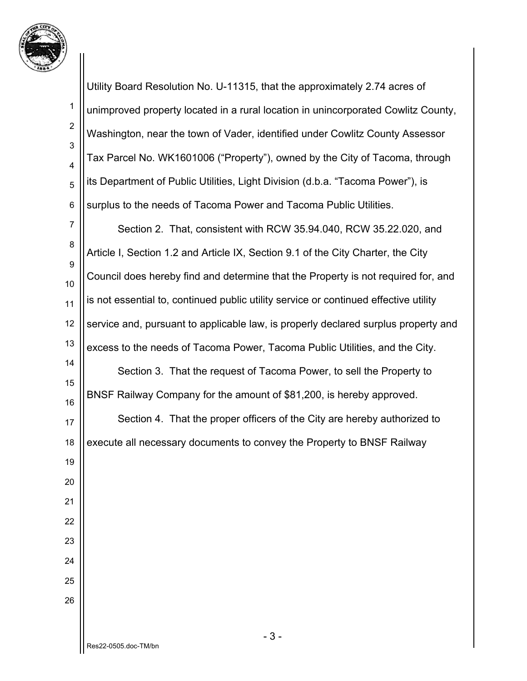

2

3

4

5

6

Utility Board Resolution No. U-11315, that the approximately 2.74 acres of unimproved property located in a rural location in unincorporated Cowlitz County, Washington, near the town of Vader, identified under Cowlitz County Assessor Tax Parcel No. WK1601006 ("Property"), owned by the City of Tacoma, through its Department of Public Utilities, Light Division (d.b.a. "Tacoma Power"), is surplus to the needs of Tacoma Power and Tacoma Public Utilities.

7 8 9 10 11 12 13 14 15 16 17 Section 2. That, consistent with RCW 35.94.040, RCW 35.22.020, and Article I, Section 1.2 and Article IX, Section 9.1 of the City Charter, the City Council does hereby find and determine that the Property is not required for, and is not essential to, continued public utility service or continued effective utility service and, pursuant to applicable law, is properly declared surplus property and excess to the needs of Tacoma Power, Tacoma Public Utilities, and the City. Section 3. That the request of Tacoma Power, to sell the Property to BNSF Railway Company for the amount of \$81,200, is hereby approved. Section 4. That the proper officers of the City are hereby authorized to execute all necessary documents to convey the Property to BNSF Railway

18 19 20

21

26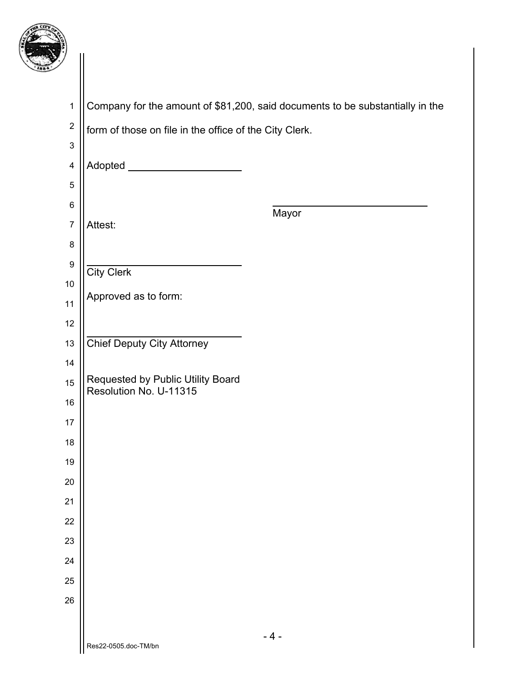

| $\mathbf 1$             | Company for the amount of \$81,200, said documents to be substantially in the |
|-------------------------|-------------------------------------------------------------------------------|
| $\boldsymbol{2}$        | form of those on file in the office of the City Clerk.                        |
| $\mathbf 3$             |                                                                               |
| $\overline{\mathbf{4}}$ | Adopted ________________________                                              |
| 5                       |                                                                               |
| $\,6$                   | Mayor                                                                         |
| $\boldsymbol{7}$        | Attest:                                                                       |
| 8                       |                                                                               |
| $\boldsymbol{9}$        | City Clerk                                                                    |
| 10                      | Approved as to form:                                                          |
| 11                      |                                                                               |
| 12                      |                                                                               |
| 13                      | <b>Chief Deputy City Attorney</b>                                             |
| 14                      | Requested by Public Utility Board                                             |
| 15                      | Resolution No. U-11315                                                        |
| 16                      |                                                                               |
| 17<br>18                |                                                                               |
| 19                      |                                                                               |
| 20                      |                                                                               |
| 21                      |                                                                               |
| 22                      |                                                                               |
| 23                      |                                                                               |
| 24                      |                                                                               |
| 25                      |                                                                               |
| 26                      |                                                                               |
|                         |                                                                               |
|                         | $-4-$<br>Res22-0505.doc-TM/bn                                                 |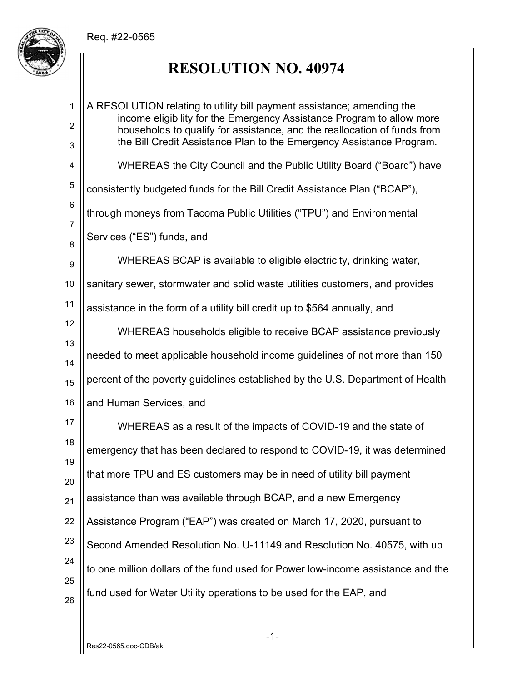

# **RESOLUTION NO. 40974**

| 1              | A RESOLUTION relating to utility bill payment assistance; amending the<br>income eligibility for the Emergency Assistance Program to allow more  |
|----------------|--------------------------------------------------------------------------------------------------------------------------------------------------|
| 2<br>3         | households to qualify for assistance, and the reallocation of funds from<br>the Bill Credit Assistance Plan to the Emergency Assistance Program. |
| 4              | WHEREAS the City Council and the Public Utility Board ("Board") have                                                                             |
| 5              | consistently budgeted funds for the Bill Credit Assistance Plan ("BCAP"),                                                                        |
| 6              | through moneys from Tacoma Public Utilities ("TPU") and Environmental                                                                            |
| $\overline{7}$ | Services ("ES") funds, and                                                                                                                       |
| 8<br>9         | WHEREAS BCAP is available to eligible electricity, drinking water,                                                                               |
| 10             | sanitary sewer, stormwater and solid waste utilities customers, and provides                                                                     |
| 11             | assistance in the form of a utility bill credit up to \$564 annually, and                                                                        |
| 12             | WHEREAS households eligible to receive BCAP assistance previously                                                                                |
| 13<br>14       | needed to meet applicable household income guidelines of not more than 150                                                                       |
| 15             | percent of the poverty guidelines established by the U.S. Department of Health                                                                   |
| 16             | and Human Services, and                                                                                                                          |
| 17             | WHEREAS as a result of the impacts of COVID-19 and the state of                                                                                  |
| 18             | emergency that has been declared to respond to COVID-19, it was determined                                                                       |
| 19             | that more TPU and ES customers may be in need of utility bill payment                                                                            |
| 20<br>21       | assistance than was available through BCAP, and a new Emergency                                                                                  |
| 22             | Assistance Program ("EAP") was created on March 17, 2020, pursuant to                                                                            |
| 23             |                                                                                                                                                  |
| 24             | Second Amended Resolution No. U-11149 and Resolution No. 40575, with up                                                                          |
| 25             | to one million dollars of the fund used for Power low-income assistance and the                                                                  |
| 26             | fund used for Water Utility operations to be used for the EAP, and                                                                               |

-1-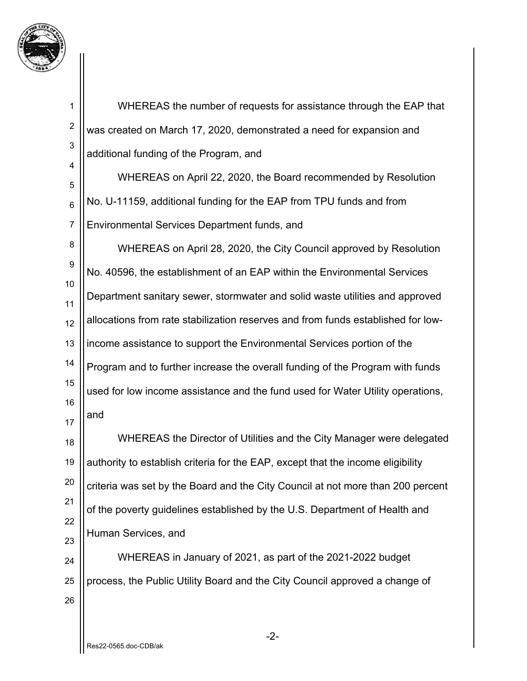

1 2 3 4 5 6 7 8 9 10 11 12 13 14 15 16 17 18 19 20 21 22 23 24 25 26 WHEREAS the number of requests for assistance through the EAP that was created on March 17, 2020, demonstrated a need for expansion and additional funding of the Program, and WHEREAS on April 22, 2020, the Board recommended by Resolution No. U-11159, additional funding for the EAP from TPU funds and from Environmental Services Department funds, and WHEREAS on April 28, 2020, the City Council approved by Resolution No. 40596, the establishment of an EAP within the Environmental Services Department sanitary sewer, stormwater and solid waste utilities and approved allocations from rate stabilization reserves and from funds established for lowincome assistance to support the Environmental Services portion of the Program and to further increase the overall funding of the Program with funds used for low income assistance and the fund used for Water Utility operations, and WHEREAS the Director of Utilities and the City Manager were delegated authority to establish criteria for the EAP, except that the income eligibility criteria was set by the Board and the City Council at not more than 200 percent of the poverty guidelines established by the U.S. Department of Health and Human Services, and WHEREAS in January of 2021, as part of the 2021-2022 budget process, the Public Utility Board and the City Council approved a change of

-2-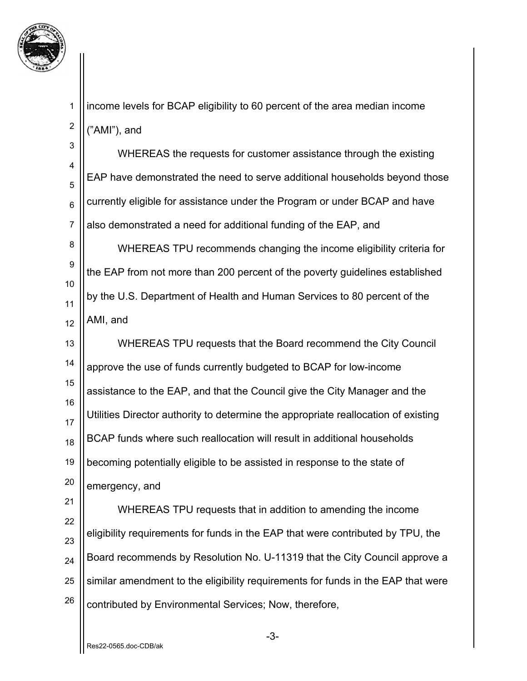

5

6

2 income levels for BCAP eligibility to 60 percent of the area median income ("AMI"), and

3 4 7 WHEREAS the requests for customer assistance through the existing EAP have demonstrated the need to serve additional households beyond those currently eligible for assistance under the Program or under BCAP and have also demonstrated a need for additional funding of the EAP, and

8 9 10 11 12 WHEREAS TPU recommends changing the income eligibility criteria for the EAP from not more than 200 percent of the poverty guidelines established by the U.S. Department of Health and Human Services to 80 percent of the AMI, and

13 14 15 16 17 18 19 20 WHEREAS TPU requests that the Board recommend the City Council approve the use of funds currently budgeted to BCAP for low-income assistance to the EAP, and that the Council give the City Manager and the Utilities Director authority to determine the appropriate reallocation of existing BCAP funds where such reallocation will result in additional households becoming potentially eligible to be assisted in response to the state of emergency, and

21 22 23 24 25 26 WHEREAS TPU requests that in addition to amending the income eligibility requirements for funds in the EAP that were contributed by TPU, the Board recommends by Resolution No. U-11319 that the City Council approve a similar amendment to the eligibility requirements for funds in the EAP that were contributed by Environmental Services; Now, therefore,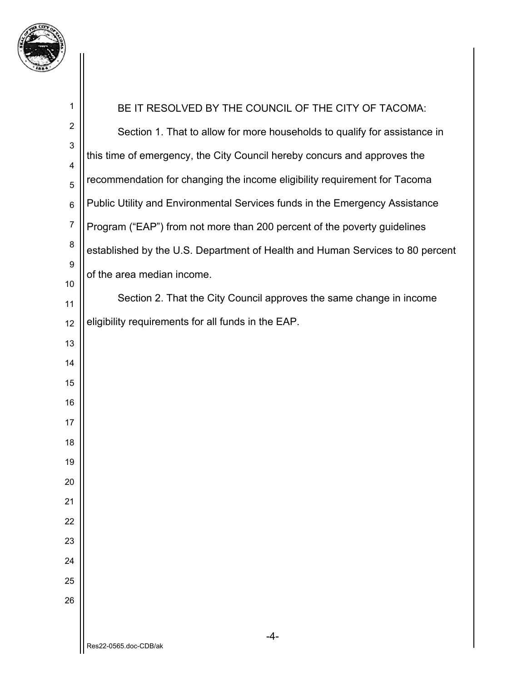

| 1                | BE IT RESOLVED BY THE COUNCIL OF THE CITY OF TACOMA:                          |  |
|------------------|-------------------------------------------------------------------------------|--|
| $\boldsymbol{2}$ | Section 1. That to allow for more households to qualify for assistance in     |  |
| 3                | this time of emergency, the City Council hereby concurs and approves the      |  |
| 4<br>5           | recommendation for changing the income eligibility requirement for Tacoma     |  |
| 6                | Public Utility and Environmental Services funds in the Emergency Assistance   |  |
| $\overline{7}$   | Program ("EAP") from not more than 200 percent of the poverty guidelines      |  |
| 8                | established by the U.S. Department of Health and Human Services to 80 percent |  |
| 9                | of the area median income.                                                    |  |
| 10               |                                                                               |  |
| 11               | Section 2. That the City Council approves the same change in income           |  |
| 12               | eligibility requirements for all funds in the EAP.                            |  |
| 13               |                                                                               |  |
| 14               |                                                                               |  |
| 15               |                                                                               |  |
| 16               |                                                                               |  |
| 17               |                                                                               |  |
| 18               |                                                                               |  |
| 19               |                                                                               |  |
| 20               |                                                                               |  |
| 21               |                                                                               |  |
| 22               |                                                                               |  |
| 23               |                                                                               |  |
| 24               |                                                                               |  |
| 25               |                                                                               |  |
| 26               |                                                                               |  |
|                  | $-4-$                                                                         |  |
|                  | Res22-0565.doc-CDB/ak                                                         |  |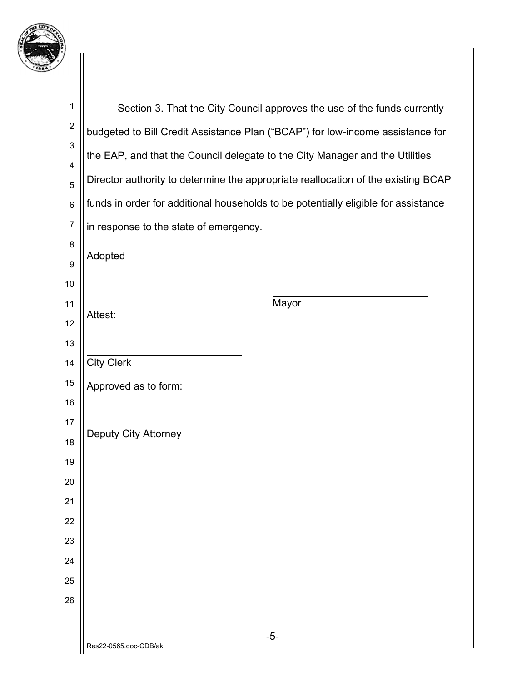

| $\mathbf 1$             |                                                                                    | Section 3. That the City Council approves the use of the funds currently          |  |
|-------------------------|------------------------------------------------------------------------------------|-----------------------------------------------------------------------------------|--|
| $\boldsymbol{2}$        | budgeted to Bill Credit Assistance Plan ("BCAP") for low-income assistance for     |                                                                                   |  |
| $\mathsf 3$             | the EAP, and that the Council delegate to the City Manager and the Utilities       |                                                                                   |  |
| $\overline{\mathbf{4}}$ |                                                                                    | Director authority to determine the appropriate reallocation of the existing BCAP |  |
| 5<br>$\,6$              | funds in order for additional households to be potentially eligible for assistance |                                                                                   |  |
| $\overline{7}$          |                                                                                    |                                                                                   |  |
| 8                       | in response to the state of emergency.                                             |                                                                                   |  |
| $\boldsymbol{9}$        |                                                                                    |                                                                                   |  |
| 10                      |                                                                                    |                                                                                   |  |
| 11                      |                                                                                    | Mayor                                                                             |  |
| 12                      | Attest:                                                                            |                                                                                   |  |
| 13                      |                                                                                    |                                                                                   |  |
| 14                      | <b>City Clerk</b>                                                                  |                                                                                   |  |
| 15                      | Approved as to form:                                                               |                                                                                   |  |
| 16                      |                                                                                    |                                                                                   |  |
| 17                      | Deputy City Attorney                                                               |                                                                                   |  |
| 18                      |                                                                                    |                                                                                   |  |
| 19<br>20                |                                                                                    |                                                                                   |  |
| 21                      |                                                                                    |                                                                                   |  |
| 22                      |                                                                                    |                                                                                   |  |
| 23                      |                                                                                    |                                                                                   |  |
| 24                      |                                                                                    |                                                                                   |  |
| 25                      |                                                                                    |                                                                                   |  |
| 26                      |                                                                                    |                                                                                   |  |
|                         |                                                                                    |                                                                                   |  |
|                         | Res22-0565.doc-CDB/ak                                                              | $-5-$                                                                             |  |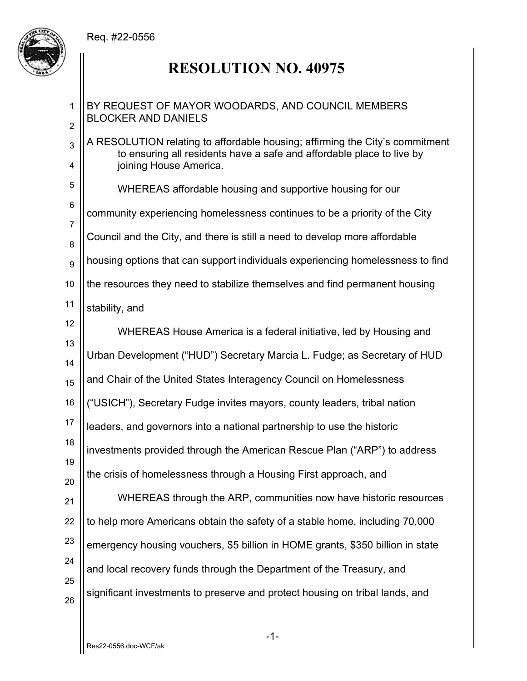

## **RESOLUTION NO. 40975**

1 2 3 4 5 6 7 8 9 10 11 12 13 14 15 16 17 18 19 20 21 22 23 24 25 26 BY REQUEST OF MAYOR WOODARDS, AND COUNCIL MEMBERS BLOCKER AND DANIELS A RESOLUTION relating to affordable housing; affirming the City's commitment to ensuring all residents have a safe and affordable place to live by joining House America. WHEREAS affordable housing and supportive housing for our community experiencing homelessness continues to be a priority of the City Council and the City, and there is still a need to develop more affordable housing options that can support individuals experiencing homelessness to find the resources they need to stabilize themselves and find permanent housing stability, and WHEREAS House America is a federal initiative, led by Housing and Urban Development ("HUD") Secretary Marcia L. Fudge; as Secretary of HUD and Chair of the United States Interagency Council on Homelessness ("USICH"), Secretary Fudge invites mayors, county leaders, tribal nation leaders, and governors into a national partnership to use the historic investments provided through the American Rescue Plan ("ARP") to address the crisis of homelessness through a Housing First approach, and WHEREAS through the ARP, communities now have historic resources to help more Americans obtain the safety of a stable home, including 70,000 emergency housing vouchers, \$5 billion in HOME grants, \$350 billion in state and local recovery funds through the Department of the Treasury, and significant investments to preserve and protect housing on tribal lands, and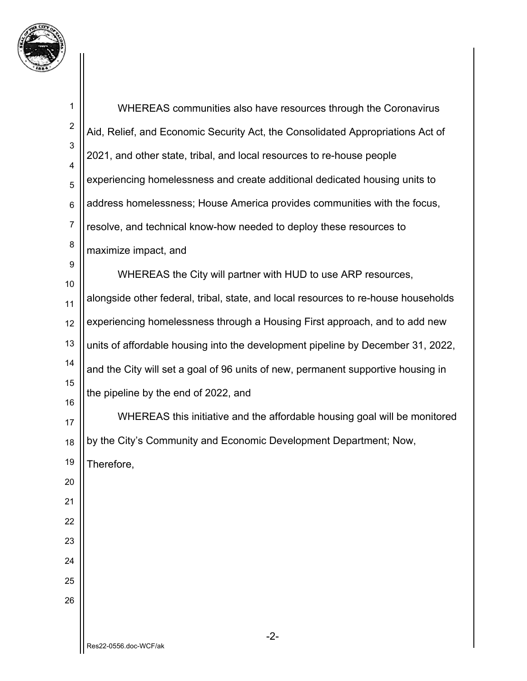

| 1              | WHEREAS communities also have resources through the Coronavirus                    |
|----------------|------------------------------------------------------------------------------------|
| $\overline{c}$ | Aid, Relief, and Economic Security Act, the Consolidated Appropriations Act of     |
| 3<br>4         | 2021, and other state, tribal, and local resources to re-house people              |
| 5              | experiencing homelessness and create additional dedicated housing units to         |
| 6              | address homelessness; House America provides communities with the focus,           |
| $\overline{7}$ | resolve, and technical know-how needed to deploy these resources to                |
| 8              | maximize impact, and                                                               |
| 9<br>10        | WHEREAS the City will partner with HUD to use ARP resources,                       |
| 11             | alongside other federal, tribal, state, and local resources to re-house households |
| 12             | experiencing homelessness through a Housing First approach, and to add new         |
| 13             | units of affordable housing into the development pipeline by December 31, 2022,    |
| 14             | and the City will set a goal of 96 units of new, permanent supportive housing in   |
| 15             | the pipeline by the end of 2022, and                                               |
| 16<br>17       | WHEREAS this initiative and the affordable housing goal will be monitored          |
| 18             | by the City's Community and Economic Development Department; Now,                  |
| 19             | Therefore,                                                                         |
| 20             |                                                                                    |
| 21             |                                                                                    |
| 22             |                                                                                    |
| 23             |                                                                                    |
| 24             |                                                                                    |
| 25             |                                                                                    |
| 26             |                                                                                    |
|                | $-2-$<br>$D_{00}$ 22 AEEA doo $M$ CE/al                                            |